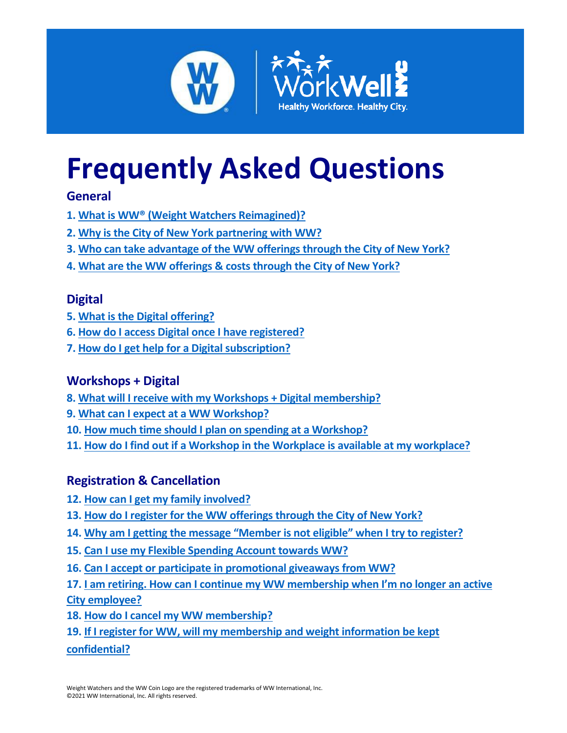

# **Frequently Asked Questions**

## **General**

- **1. What is WW® [\(Weight Watchers Reimagined\)?](#page-0-0)**
- **2. [Why is the City of New York](#page-1-0) partnering with WW?**
- **3. [Who can take advantage of the WW offerings through the City of New York?](#page-1-1)**
- **4. What are the WW offerings [& costs through the City of New York?](#page-1-2)**

# **Digital**

- **5. [What is the Digital offering?](#page-2-0)**
- **6. [How do I access Digital once I have registered?](#page-2-1)**
- **7. [How do I get help for a Digital subscription?](#page-2-2)**

# **Workshops + Digital**

- **8. [What will I receive with my Workshops + Digital membership?](#page-2-3)**
- **9. [What can I expect at a WW Workshop?](#page-3-0)**
- **10. [How much time should I plan on spending at a Workshop?](#page-3-1)**
- **11. [How do I find out if a Workshop in the Workplace is available at my workplace?](#page-3-2)**

# **Registration & Cancellation**

- **12. [How can I get my family involved?](#page-3-3)**
- **13. [How do I register for the WW offerings](#page-4-0) through the City of New York?**
- **14. Why am I getting the message "[Member is not eligible](#page-4-1)" when I try to register?**
- **15. [Can I use my Flexible Spending Account towards WW?](#page-4-2)**
- **16. [Can I accept or participate in promotional giveaways from WW?](#page-5-0)**
- **17. I am retiring. How can I continue my WW [membership when I'm no longer an active](#page-5-1)  [City employee?](#page-5-1)**
- **18. [How do I cancel my WW membership?](#page-5-2)**
- <span id="page-0-0"></span>**19. [If I register for WW, will my membership and weight information be kept](#page-5-3)  [confidential?](#page-5-3)**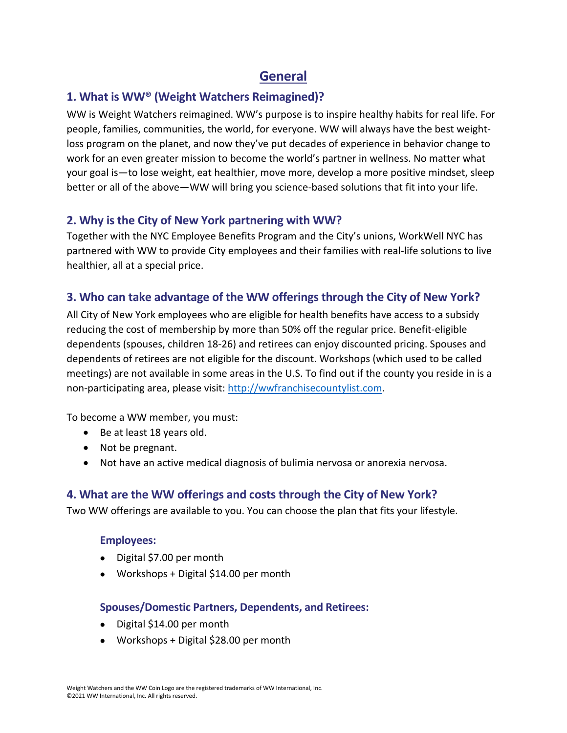# <span id="page-1-0"></span>**General**

## **1. What is WW® (Weight Watchers Reimagined)?**

WW is Weight Watchers reimagined. WW's purpose is to inspire healthy habits for real life. For people, families, communities, the world, for everyone. WW will always have the best weightloss program on the planet, and now they've put decades of experience in behavior change to work for an even greater mission to become the world's partner in wellness. No matter what your goal is—to lose weight, eat healthier, move more, develop a more positive mindset, sleep better or all of the above—WW will bring you science-based solutions that fit into your life.

## **2. Why is the City of New York partnering with WW?**

Together with the NYC Employee Benefits Program and the City's unions, WorkWell NYC has partnered with WW to provide City employees and their families with real-life solutions to live healthier, all at a special price.

## <span id="page-1-1"></span>**3. Who can take advantage of the WW offerings through the City of New York?**

All City of New York employees who are eligible for health benefits have access to a subsidy reducing the cost of membership by more than 50% off the regular price. Benefit-eligible dependents (spouses, children 18-26) and retirees can enjoy discounted pricing. Spouses and dependents of retirees are not eligible for the discount. Workshops (which used to be called meetings) are not available in some areas in the U.S. To find out if the county you reside in is a non-participating area, please visit: [http://wwfranchisecountylist.com.](http://wwfranchisecountylist.com/)

To become a WW member, you must:

- Be at least 18 years old.
- Not be pregnant.
- Not have an active medical diagnosis of bulimia nervosa or anorexia nervosa.

## <span id="page-1-2"></span>**4. What are the WW offerings and costs through the City of New York?**

Two WW offerings are available to you. You can choose the plan that fits your lifestyle.

#### **Employees:**

- Digital \$7.00 per month
- Workshops + Digital \$14.00 per month

#### **Spouses/Domestic Partners, Dependents, and Retirees:**

- Digital \$14.00 per month
- Workshops + Digital \$28.00 per month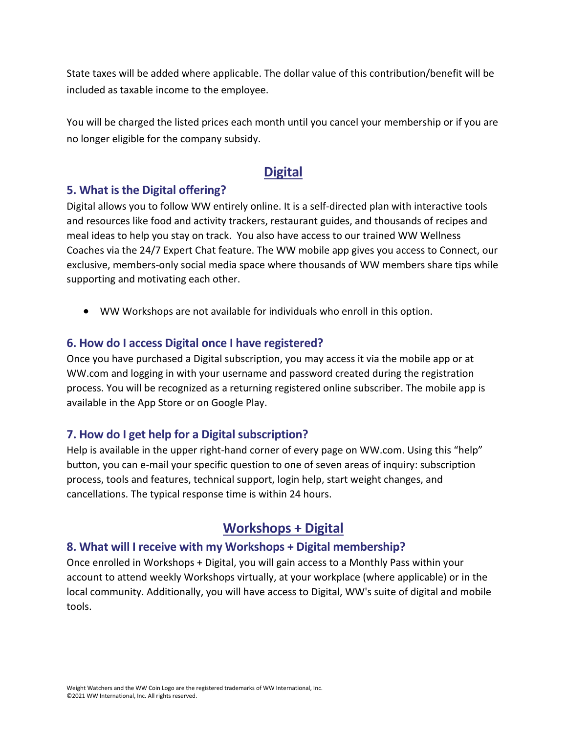State taxes will be added where applicable. The dollar value of this contribution/benefit will be included as taxable income to the employee.

You will be charged the listed prices each month until you cancel your membership or if you are no longer eligible for the company subsidy.

## <span id="page-2-1"></span>**Digital**

#### <span id="page-2-0"></span>**5. What is the Digital offering?**

Digital allows you to follow WW entirely online. It is a self-directed plan with interactive tools and resources like food and activity trackers, restaurant guides, and thousands of recipes and meal ideas to help you stay on track. You also have access to our trained WW Wellness Coaches via the 24/7 Expert Chat feature. The WW mobile app gives you access to Connect, our exclusive, members-only social media space where thousands of WW members share tips while supporting and motivating each other.

• WW Workshops are not available for individuals who enroll in this option.

#### **6. How do I access Digital once I have registered?**

Once you have purchased a Digital subscription, you may access it via the mobile app or at WW.com and logging in with your username and password created during the registration process. You will be recognized as a returning registered online subscriber. The mobile app is available in the App Store or on Google Play.

## <span id="page-2-2"></span>**7. How do I get help for a Digital subscription?**

Help is available in the upper right-hand corner of every page on WW.com. Using this "help" button, you can e-mail your specific question to one of seven areas of inquiry: subscription process, tools and features, technical support, login help, start weight changes, and cancellations. The typical response time is within 24 hours.

## <span id="page-2-3"></span>**Workshops + Digital**

#### **8. What will I receive with my Workshops + Digital membership?**

Once enrolled in Workshops + Digital, you will gain access to a Monthly Pass within your account to attend weekly Workshops virtually, at your workplace (where applicable) or in the local community. Additionally, you will have access to Digital, WW's suite of digital and mobile tools.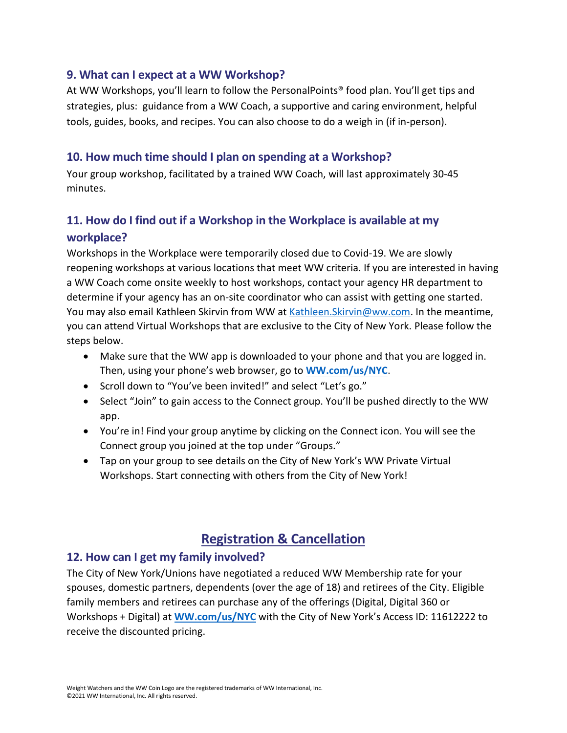#### <span id="page-3-0"></span>**9. What can I expect at a WW Workshop?**

At WW Workshops, you'll learn to follow the PersonalPoints® food plan. You'll get tips and strategies, plus: guidance from a WW Coach, a supportive and caring environment, helpful tools, guides, books, and recipes. You can also choose to do a weigh in (if in-person).

## <span id="page-3-1"></span>**10. How much time should I plan on spending at a Workshop?**

Your group workshop, facilitated by a trained WW Coach, will last approximately 30-45 minutes.

# <span id="page-3-2"></span>**11. How do I find out if a Workshop in the Workplace is available at my workplace?**

Workshops in the Workplace were temporarily closed due to Covid-19. We are slowly reopening workshops at various locations that meet WW criteria. If you are interested in having a WW Coach come onsite weekly to host workshops, contact your agency HR department to determine if your agency has an on-site coordinator who can assist with getting one started. You may also email Kathleen Skirvin from WW at [Kathleen.Skirvin@ww.com.](mailto:Kathleen.Skirvin@ww.com) In the meantime, you can attend Virtual Workshops that are exclusive to the City of New York. Please follow the steps below.

- Make sure that the WW app is downloaded to your phone and that you are logged in. Then, using your phone's web browser, go to **[WW.com/us/NYC](https://www.weightwatchers.com/us/nyc)**.
- Scroll down to "You've been invited!" and select "Let's go."
- Select "Join" to gain access to the Connect group. You'll be pushed directly to the WW app.
- You're in! Find your group anytime by clicking on the Connect icon. You will see the Connect group you joined at the top under "Groups."
- Tap on your group to see details on the City of New York's WW Private Virtual Workshops. Start connecting with others from the City of New York!

# **Registration & Cancellation**

## <span id="page-3-3"></span>**12. How can I get my family involved?**

The City of New York/Unions have negotiated a reduced WW Membership rate for your spouses, domestic partners, dependents (over the age of 18) and retirees of the City. Eligible family members and retirees can purchase any of the offerings (Digital, Digital 360 or Workshops + Digital) at **[WW.com/us/NYC](https://www.weightwatchers.com/us/nyc)** with the City of New York's Access ID: 11612222 to receive the discounted pricing.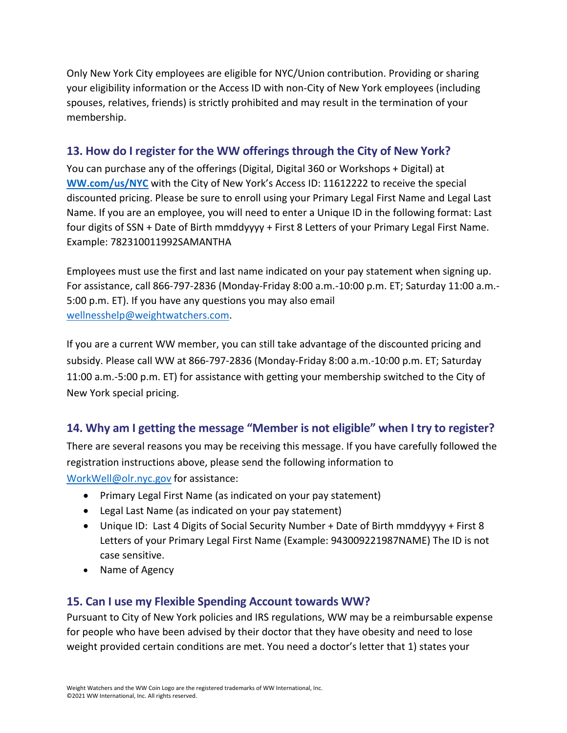Only New York City employees are eligible for NYC/Union contribution. Providing or sharing your eligibility information or the Access ID with non-City of New York employees (including spouses, relatives, friends) is strictly prohibited and may result in the termination of your membership.

## <span id="page-4-0"></span>**13. How do I register for the WW offerings through the City of New York?**

You can purchase any of the offerings (Digital, Digital 360 or Workshops + Digital) at **[WW.com/us/NYC](https://www.weightwatchers.com/us/nyc)** with the City of New York's Access ID: 11612222 to receive the special discounted pricing. Please be sure to enroll using your Primary Legal First Name and Legal Last Name. If you are an employee, you will need to enter a Unique ID in the following format: Last four digits of SSN + Date of Birth mmddyyyy + First 8 Letters of your Primary Legal First Name. Example: 782310011992SAMANTHA

Employees must use the first and last name indicated on your pay statement when signing up. For assistance, call 866-797-2836 (Monday-Friday 8:00 a.m.-10:00 p.m. ET; Saturday 11:00 a.m.- 5:00 p.m. ET). If you have any questions you may also email [wellnesshelp@weightwatchers.com.](mailto:wellnesshelp@weightwatchers.com)

If you are a current WW member, you can still take advantage of the discounted pricing and subsidy. Please call WW at 866-797-2836 (Monday-Friday 8:00 a.m.-10:00 p.m. ET; Saturday 11:00 a.m.-5:00 p.m. ET) for assistance with getting your membership switched to the City of New York special pricing.

## <span id="page-4-1"></span>**14. Why am I getting the message "Member is not eligible" when I try to register?**

There are several reasons you may be receiving this message. If you have carefully followed the registration instructions above, please send the following information to [WorkWell@olr.nyc.gov](mailto:WorkWell@olr.nyc.gov) for assistance:

- Primary Legal First Name (as indicated on your pay statement)
- Legal Last Name (as indicated on your pay statement)
- Unique ID: Last 4 Digits of Social Security Number + Date of Birth mmddyyyy + First 8 Letters of your Primary Legal First Name (Example: 943009221987NAME) The ID is not case sensitive.
- Name of Agency

## <span id="page-4-2"></span>**15. Can I use my Flexible Spending Account towards WW?**

Pursuant to City of New York policies and IRS regulations, WW may be a reimbursable expense for people who have been advised by their doctor that they have obesity and need to lose weight provided certain conditions are met. You need a doctor's letter that 1) states your